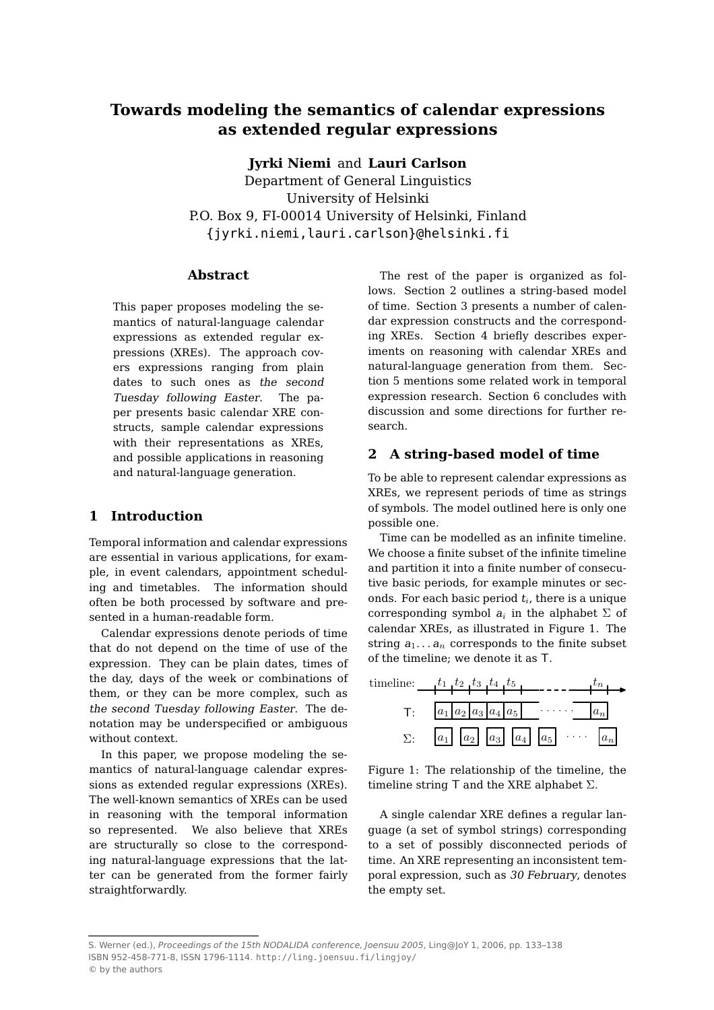# **Towards modeling the semantics of calendar expressions as extended regular expressions**

**Jyrki Niemi** and **Lauri Carlson**

Department of General Linguistics University of Helsinki P.O. Box 9, FI-00014 University of Helsinki, Finland {jyrki.niemi,lauri.carlson}@helsinki.fi

### **Abstract**

This paper proposes modeling the semantics of natural-language calendar expressions as extended regular expressions (XREs). The approach covers expressions ranging from plain dates to such ones as the second Tuesday following Easter. The paper presents basic calendar XRE constructs, sample calendar expressions with their representations as XREs, and possible applications in reasoning and natural-language generation.

## **1 Introduction**

Temporal information and calendar expressions are essential in various applications, for example, in event calendars, appointment scheduling and timetables. The information should often be both processed by software and presented in a human-readable form.

Calendar expressions denote periods of time that do not depend on the time of use of the expression. They can be plain dates, times of the day, days of the week or combinations of them, or they can be more complex, such as the second Tuesday following Easter. The denotation may be underspecified or ambiguous without context.

In this paper, we propose modeling the semantics of natural-language calendar expressions as extended regular expressions (XREs). The well-known semantics of XREs can be used in reasoning with the temporal information so represented. We also believe that XREs are structurally so close to the corresponding natural-language expressions that the latter can be generated from the former fairly straightforwardly.

The rest of the paper is organized as follows. Section 2 outlines a string-based model of time. Section 3 presents a number of calendar expression constructs and the corresponding XREs. Section 4 briefly describes experiments on reasoning with calendar XREs and natural-language generation from them. Section 5 mentions some related work in temporal expression research. Section 6 concludes with discussion and some directions for further research.

# **2 A string-based model of time**

To be able to represent calendar expressions as XREs, we represent periods of time as strings of symbols. The model outlined here is only one possible one.

Time can be modelled as an infinite timeline. We choose a finite subset of the infinite timeline and partition it into a finite number of consecutive basic periods, for example minutes or seconds. For each basic period  $t_i$ , there is a unique corresponding symbol  $a_i$  in the alphabet  $\Sigma$  of calendar XREs, as illustrated in Figure 1. The string  $a_1 \ldots a_n$  corresponds to the finite subset of the timeline; we denote it as T.



Figure 1: The relationship of the timeline, the timeline string T and the XRE alphabet  $\Sigma$ .

A single calendar XRE defines a regular language (a set of symbol strings) corresponding to a set of possibly disconnected periods of time. An XRE representing an inconsistent temporal expression, such as 30 February, denotes the empty set.

S. Werner (ed.), Proceedings of the 15th NODALIDA conference, Joensuu 2005, Ling@JoY 1, 2006, pp. 133–138 ISBN 952-458-771-8, ISSN 1796-1114. http://ling.joensuu.fi/lingjoy/ © by the authors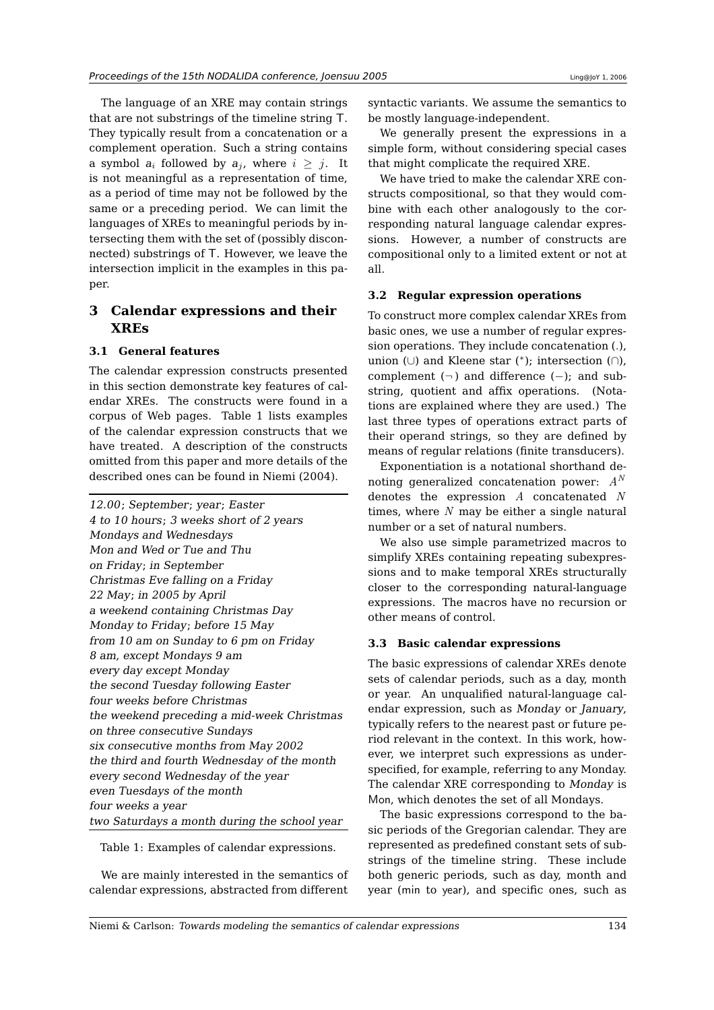The language of an XRE may contain strings that are not substrings of the timeline string T. They typically result from a concatenation or a complement operation. Such a string contains a symbol  $a_i$  followed by  $a_j$ , where  $i \geq j$ . It is not meaningful as a representation of time, as a period of time may not be followed by the same or a preceding period. We can limit the languages of XREs to meaningful periods by intersecting them with the set of (possibly disconnected) substrings of T. However, we leave the intersection implicit in the examples in this paper.

# **3 Calendar expressions and their XREs**

## **3.1 General features**

The calendar expression constructs presented in this section demonstrate key features of calendar XREs. The constructs were found in a corpus of Web pages. Table 1 lists examples of the calendar expression constructs that we have treated. A description of the constructs omitted from this paper and more details of the described ones can be found in Niemi (2004).

12.00; September; year; Easter 4 to 10 hours; 3 weeks short of 2 years Mondays and Wednesdays Mon and Wed or Tue and Thu on Friday; in September Christmas Eve falling on <sup>a</sup> Friday 22 May; in 2005 by April <sup>a</sup> weekend containing Christmas Day Monday to Friday; before 15 May from 10 am on Sunday to 6 pm on Friday 8 am, except Mondays 9 am every day except Monday the second Tuesday following Easter four weeks before Christmas the weekend preceding <sup>a</sup> mid-week Christmas on three consecutive Sundays six consecutive months from May 2002 the third and fourth Wednesday of the month every second Wednesday of the year even Tuesdays of the month four weeks <sup>a</sup> year two Saturdays <sup>a</sup> month during the school year

Table 1: Examples of calendar expressions.

We are mainly interested in the semantics of calendar expressions, abstracted from different

syntactic variants. We assume the semantics to be mostly language-independent.

We generally present the expressions in a simple form, without considering special cases that might complicate the required XRE.

We have tried to make the calendar XRE constructs compositional, so that they would combine with each other analogously to the corresponding natural language calendar expressions. However, a number of constructs are compositional only to a limited extent or not at all.

### **3.2 Regular expression operations**

To construct more complex calendar XREs from basic ones, we use a number of regular expression operations. They include concatenation (.), union (∪) and Kleene star (<sup>∗</sup> ); intersection (∩), complement  $(\neg)$  and difference  $(-)$ ; and substring, quotient and affix operations. (Notations are explained where they are used.) The last three types of operations extract parts of their operand strings, so they are defined by means of regular relations (finite transducers).

Exponentiation is a notational shorthand denoting generalized concatenation power:  $A^N$ denotes the expression A concatenated N times, where  $N$  may be either a single natural number or a set of natural numbers.

We also use simple parametrized macros to simplify XREs containing repeating subexpressions and to make temporal XREs structurally closer to the corresponding natural-language expressions. The macros have no recursion or other means of control.

### **3.3 Basic calendar expressions**

The basic expressions of calendar XREs denote sets of calendar periods, such as a day, month or year. An unqualified natural-language calendar expression, such as Monday or January, typically refers to the nearest past or future period relevant in the context. In this work, however, we interpret such expressions as underspecified, for example, referring to any Monday. The calendar XRE corresponding to Monday is Mon, which denotes the set of all Mondays.

The basic expressions correspond to the basic periods of the Gregorian calendar. They are represented as predefined constant sets of substrings of the timeline string. These include both generic periods, such as day, month and year (min to year), and specific ones, such as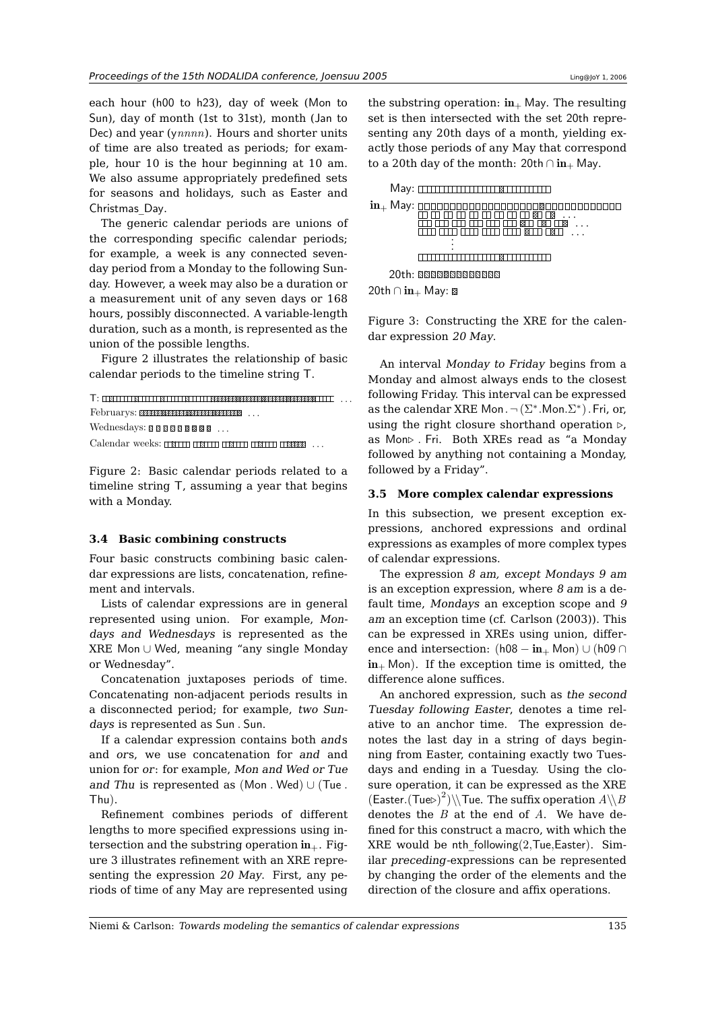each hour (h00 to h23), day of week (Mon to Sun), day of month (1st to 31st), month (Jan to Dec) and year ( $\gamma$ *nnnn*). Hours and shorter units of time are also treated as periods; for example, hour 10 is the hour beginning at 10 am. We also assume appropriately predefined sets for seasons and holidays, such as Easter and Christmas\_Day.

The generic calendar periods are unions of the corresponding specific calendar periods; for example, a week is any connected sevenday period from a Monday to the following Sunday. However, a week may also be a duration or a measurement unit of any seven days or 168 hours, possibly disconnected. A variable-length duration, such as a month, is represented as the union of the possible lengths.

Figure 2 illustrates the relationship of basic calendar periods to the timeline string T.

```
T: . . .
Februarys: . . .
Wednesdays: 888888888 ...
```
Calendar weeks: . . .

Figure 2: Basic calendar periods related to a timeline string T, assuming a year that begins with a Monday.

#### **3.4 Basic combining constructs**

Four basic constructs combining basic calendar expressions are lists, concatenation, refinement and intervals.

Lists of calendar expressions are in general represented using union. For example, Mondays and Wednesdays is represented as the XRE Mon ∪ Wed, meaning "any single Monday or Wednesday".

Concatenation juxtaposes periods of time. Concatenating non-adjacent periods results in a disconnected period; for example, two Sundays is represented as Sun . Sun.

If a calendar expression contains both ands and ors, we use concatenation for and and union for or: for example, Mon and Wed or Tue and Thu is represented as  $(Mon. Wed) \cup (True.$ Thu).

Refinement combines periods of different lengths to more specified expressions using intersection and the substring operation  $in_{+}$ . Figure 3 illustrates refinement with an XRE representing the expression 20 May. First, any periods of time of any May are represented using

the substring operation:  $\text{in}_{+}$  May. The resulting set is then intersected with the set 20th representing any 20th days of a month, yielding exactly those periods of any May that correspond to a 20th day of the month: 20th ∩ in+ May.



Figure 3: Constructing the XRE for the calendar expression 20 May.

An interval Monday to Friday begins from a Monday and almost always ends to the closest following Friday. This interval can be expressed as the calendar XRE Mon.  $\neg (\Sigma^*.\textsf{Mon}.\Sigma^*)$ . Fri, or, using the right closure shorthand operation  $\triangleright$ , as Mon⊲ . Fri. Both XREs read as "a Monday followed by anything not containing a Monday, followed by a Friday".

#### **3.5 More complex calendar expressions**

In this subsection, we present exception expressions, anchored expressions and ordinal expressions as examples of more complex types of calendar expressions.

The expression 8 am, except Mondays 9 am is an exception expression, where  $8 \text{ am}$  is a default time, Mondays an exception scope and 9 am an exception time (cf. Carlson (2003)). This can be expressed in XREs using union, difference and intersection:  $(h08 - in_+$  Mon) ∪ (h09 ∩  $in_{+}$  Mon). If the exception time is omitted, the difference alone suffices.

An anchored expression, such as the second Tuesday following Easter, denotes a time relative to an anchor time. The expression denotes the last day in a string of days beginning from Easter, containing exactly two Tuesdays and ending in a Tuesday. Using the closure operation, it can be expressed as the XRE  $(\mathsf{Easter}.(\mathsf{True})^2) \setminus \mathsf{True}$ . The suffix operation  $A \setminus B$ denotes the  $B$  at the end of  $A$ . We have defined for this construct a macro, with which the XRE would be nth following $(2,True, Easter)$ . Similar preceding-expressions can be represented by changing the order of the elements and the direction of the closure and affix operations.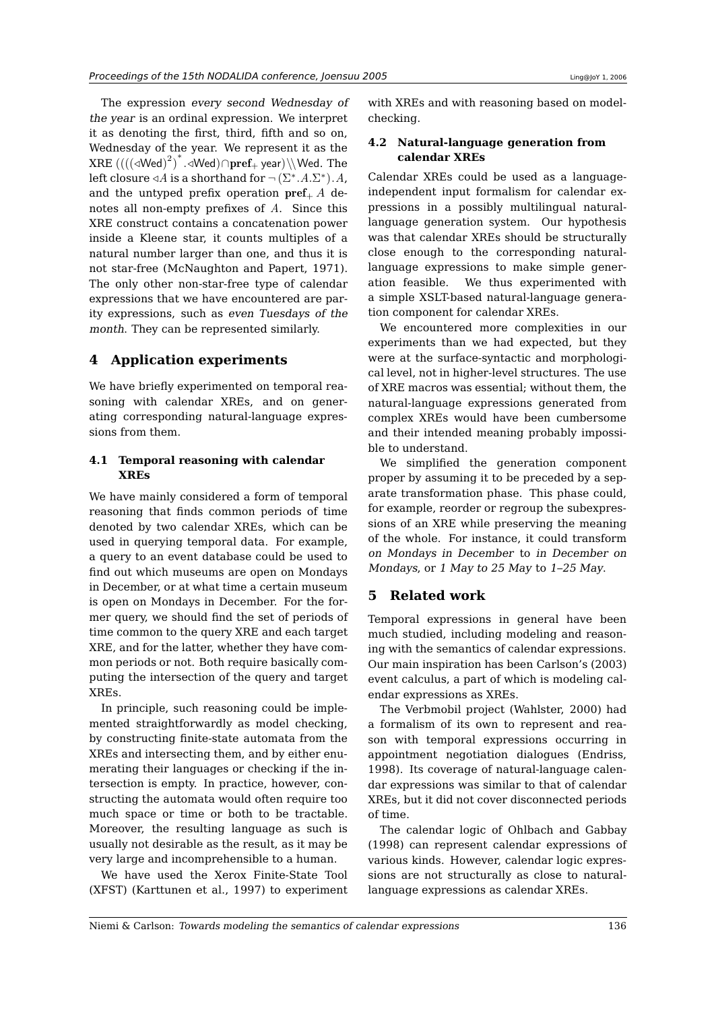The expression every second Wednesday of the year is an ordinal expression. We interpret it as denoting the first, third, fifth and so on, Wednesday of the year. We represent it as the  $\frac{1}{2}$   $*$  $\mathrm{XRE}\left(\left(\left(\triangleleft \mathrm{Wed}\right)^2\right)^*.\triangleleft \mathrm{Wed}\right)\cap \mathrm{pref}_+$  year) $\setminus\setminus\mathrm{Wed}.$  The left closure  $\triangleleft A$  is a shorthand for  $\neg(\Sigma^* . A . \Sigma^*) . A$ , and the untyped prefix operation  $\text{pref}_+ A$  denotes all non-empty prefixes of A. Since this XRE construct contains a concatenation power inside a Kleene star, it counts multiples of a natural number larger than one, and thus it is not star-free (McNaughton and Papert, 1971). The only other non-star-free type of calendar expressions that we have encountered are parity expressions, such as even Tuesdays of the month. They can be represented similarly.

## **4 Application experiments**

We have briefly experimented on temporal reasoning with calendar XREs, and on generating corresponding natural-language expressions from them.

### **4.1 Temporal reasoning with calendar XREs**

We have mainly considered a form of temporal reasoning that finds common periods of time denoted by two calendar XREs, which can be used in querying temporal data. For example, a query to an event database could be used to find out which museums are open on Mondays in December, or at what time a certain museum is open on Mondays in December. For the former query, we should find the set of periods of time common to the query XRE and each target XRE, and for the latter, whether they have common periods or not. Both require basically computing the intersection of the query and target XREs.

In principle, such reasoning could be implemented straightforwardly as model checking, by constructing finite-state automata from the XREs and intersecting them, and by either enumerating their languages or checking if the intersection is empty. In practice, however, constructing the automata would often require too much space or time or both to be tractable. Moreover, the resulting language as such is usually not desirable as the result, as it may be very large and incomprehensible to a human.

We have used the Xerox Finite-State Tool (XFST) (Karttunen et al., 1997) to experiment

with XREs and with reasoning based on modelchecking.

### **4.2 Natural-language generation from calendar XREs**

Calendar XREs could be used as a languageindependent input formalism for calendar expressions in a possibly multilingual naturallanguage generation system. Our hypothesis was that calendar XREs should be structurally close enough to the corresponding naturallanguage expressions to make simple generation feasible. We thus experimented with a simple XSLT-based natural-language generation component for calendar XREs.

We encountered more complexities in our experiments than we had expected, but they were at the surface-syntactic and morphological level, not in higher-level structures. The use of XRE macros was essential; without them, the natural-language expressions generated from complex XREs would have been cumbersome and their intended meaning probably impossible to understand.

We simplified the generation component proper by assuming it to be preceded by a separate transformation phase. This phase could, for example, reorder or regroup the subexpressions of an XRE while preserving the meaning of the whole. For instance, it could transform on Mondays in December to in December on Mondays, or 1 May to 25 May to 1–25 May.

# **5 Related work**

Temporal expressions in general have been much studied, including modeling and reasoning with the semantics of calendar expressions. Our main inspiration has been Carlson's (2003) event calculus, a part of which is modeling calendar expressions as XREs.

The Verbmobil project (Wahlster, 2000) had a formalism of its own to represent and reason with temporal expressions occurring in appointment negotiation dialogues (Endriss, 1998). Its coverage of natural-language calendar expressions was similar to that of calendar XREs, but it did not cover disconnected periods of time.

The calendar logic of Ohlbach and Gabbay (1998) can represent calendar expressions of various kinds. However, calendar logic expressions are not structurally as close to naturallanguage expressions as calendar XREs.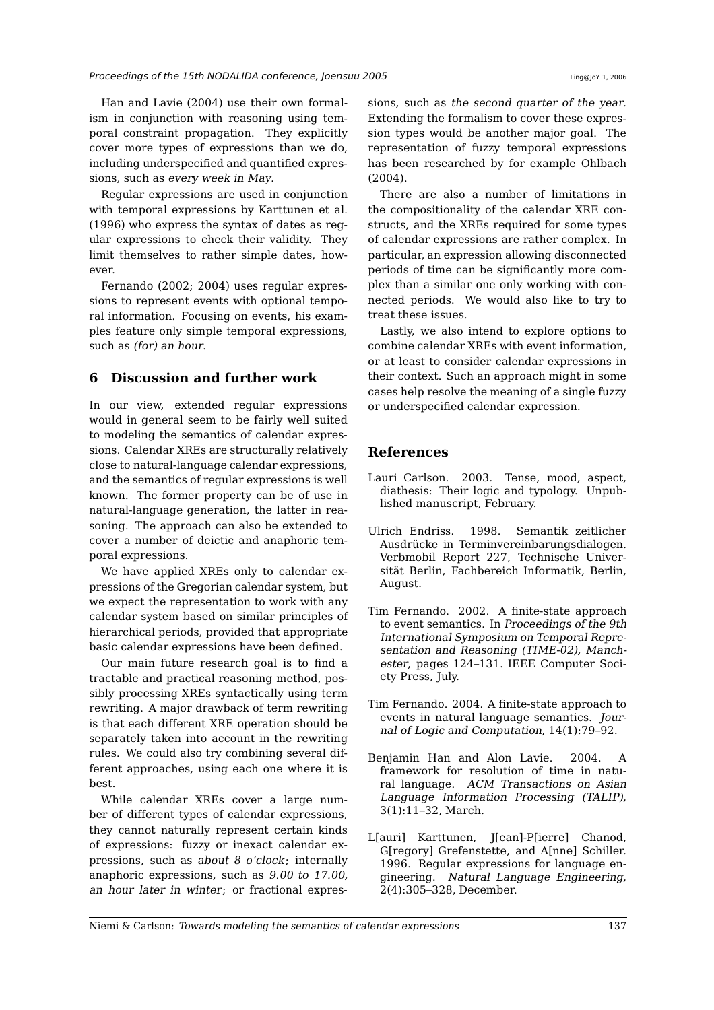Han and Lavie (2004) use their own formalism in conjunction with reasoning using temporal constraint propagation. They explicitly cover more types of expressions than we do, including underspecified and quantified expressions, such as every week in May.

Regular expressions are used in conjunction with temporal expressions by Karttunen et al. (1996) who express the syntax of dates as regular expressions to check their validity. They limit themselves to rather simple dates, however.

Fernando (2002; 2004) uses regular expressions to represent events with optional temporal information. Focusing on events, his examples feature only simple temporal expressions, such as (for) an hour.

# **6 Discussion and further work**

In our view, extended regular expressions would in general seem to be fairly well suited to modeling the semantics of calendar expressions. Calendar XREs are structurally relatively close to natural-language calendar expressions, and the semantics of regular expressions is well known. The former property can be of use in natural-language generation, the latter in reasoning. The approach can also be extended to cover a number of deictic and anaphoric temporal expressions.

We have applied XREs only to calendar expressions of the Gregorian calendar system, but we expect the representation to work with any calendar system based on similar principles of hierarchical periods, provided that appropriate basic calendar expressions have been defined.

Our main future research goal is to find a tractable and practical reasoning method, possibly processing XREs syntactically using term rewriting. A major drawback of term rewriting is that each different XRE operation should be separately taken into account in the rewriting rules. We could also try combining several different approaches, using each one where it is best.

While calendar XREs cover a large number of different types of calendar expressions, they cannot naturally represent certain kinds of expressions: fuzzy or inexact calendar expressions, such as about 8 <sup>o</sup>'clock; internally anaphoric expressions, such as 9.00 to 17.00, an hour later in winter; or fractional expres-

sions, such as the second quarter of the year. Extending the formalism to cover these expression types would be another major goal. The representation of fuzzy temporal expressions has been researched by for example Ohlbach (2004).

There are also a number of limitations in the compositionality of the calendar XRE constructs, and the XREs required for some types of calendar expressions are rather complex. In particular, an expression allowing disconnected periods of time can be significantly more complex than a similar one only working with connected periods. We would also like to try to treat these issues.

Lastly, we also intend to explore options to combine calendar XREs with event information, or at least to consider calendar expressions in their context. Such an approach might in some cases help resolve the meaning of a single fuzzy or underspecified calendar expression.

# **References**

- Lauri Carlson. 2003. Tense, mood, aspect, diathesis: Their logic and typology. Unpublished manuscript, February.
- Ulrich Endriss. 1998. Semantik zeitlicher Ausdrücke in Terminvereinbarungsdialogen. Verbmobil Report 227, Technische Universität Berlin, Fachbereich Informatik, Berlin, August.
- Tim Fernando. 2002. A finite-state approach to event semantics. In Proceedings of the 9th International Symposium on Temporal Representation and Reasoning (TIME-02), Manchester, pages 124–131. IEEE Computer Society Press, July.
- Tim Fernando. 2004. A finite-state approach to events in natural language semantics. Journal of Logic and Computation, 14(1):79–92.
- Benjamin Han and Alon Lavie. 2004. A framework for resolution of time in natural language. ACM Transactions on Asian Language Information Processing (TALIP), 3(1):11–32, March.
- L[auri] Karttunen, J[ean]-P[ierre] Chanod, G[regory] Grefenstette, and A[nne] Schiller. 1996. Regular expressions for language engineering. Natural Language Engineering, 2(4):305–328, December.